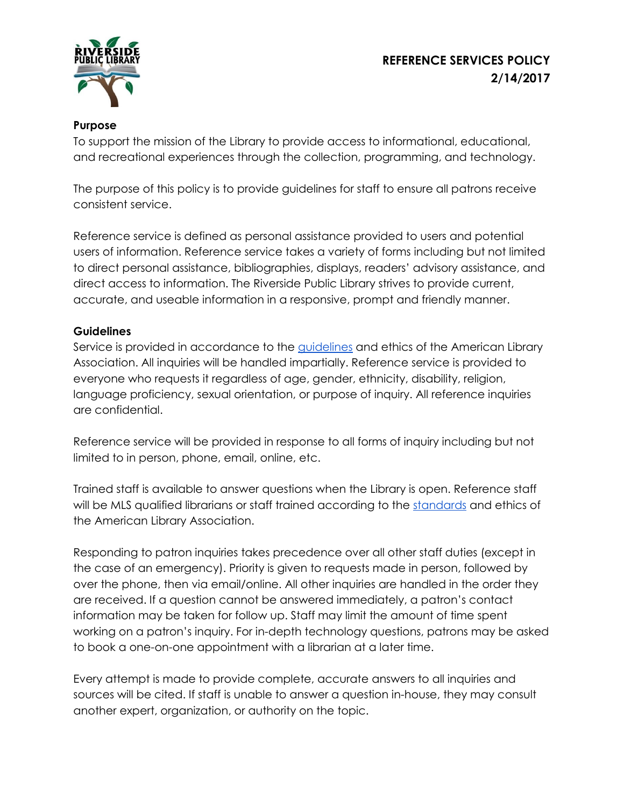## **REFERENCE SERVICES POLICY 2/14/2017**



## **Purpose**

To support the mission of the Library to provide access to informational, educational, and recreational experiences through the collection, programming, and technology.

The purpose of this policy is to provide guidelines for staff to ensure all patrons receive consistent service.

Reference service is defined as personal assistance provided to users and potential users of information. Reference service takes a variety of forms including but not limited to direct personal assistance, bibliographies, displays, readers' advisory assistance, and direct access to information. The Riverside Public Library strives to provide current, accurate, and useable information in a responsive, prompt and friendly manner.

## **Guidelines**

Service is provided in accordance to the *guidelines* and ethics of the American Library Association. All inquiries will be handled impartially. Reference service is provided to everyone who requests it regardless of age, gender, ethnicity, disability, religion, language proficiency, sexual orientation, or purpose of inquiry. All reference inquiries are confidential.

Reference service will be provided in response to all forms of inquiry including but not limited to in person, phone, email, online, etc.

Trained staff is available to answer questions when the Library is open. Reference staff will be MLS qualified librarians or staff trained according to the [standards](http://www.ala.org/rusa/resources/guidelines/guidelinesbehavioral) and ethics of the American Library Association.

Responding to patron inquiries takes precedence over all other staff duties (except in the case of an emergency). Priority is given to requests made in person, followed by over the phone, then via email/online. All other inquiries are handled in the order they are received. If a question cannot be answered immediately, a patron's contact information may be taken for follow up. Staff may limit the amount of time spent working on a patron's inquiry. For in-depth technology questions, patrons may be asked to book a one-on-one appointment with a librarian at a later time.

Every attempt is made to provide complete, accurate answers to all inquiries and sources will be cited. If staff is unable to answer a question in-house, they may consult another expert, organization, or authority on the topic.